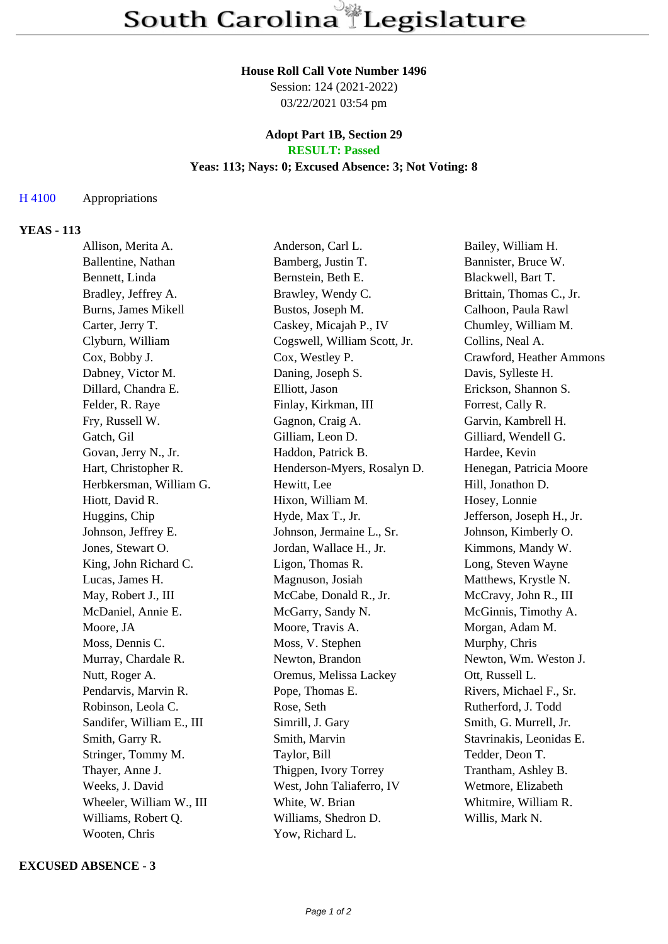#### **House Roll Call Vote Number 1496**

Session: 124 (2021-2022) 03/22/2021 03:54 pm

#### **Adopt Part 1B, Section 29 RESULT: Passed**

# **Yeas: 113; Nays: 0; Excused Absence: 3; Not Voting: 8**

## H 4100 Appropriations

## **YEAS - 113**

| Allison, Merita A.         | Anderson, Carl L.            | Bailey, William H.        |
|----------------------------|------------------------------|---------------------------|
| Ballentine, Nathan         | Bamberg, Justin T.           | Bannister, Bruce W.       |
| Bennett, Linda             | Bernstein, Beth E.           | Blackwell, Bart T.        |
| Bradley, Jeffrey A.        | Brawley, Wendy C.            | Brittain, Thomas C., Jr.  |
| <b>Burns, James Mikell</b> | Bustos, Joseph M.            | Calhoon, Paula Rawl       |
| Carter, Jerry T.           | Caskey, Micajah P., IV       | Chumley, William M.       |
| Clyburn, William           | Cogswell, William Scott, Jr. | Collins, Neal A.          |
| Cox, Bobby J.              | Cox, Westley P.              | Crawford, Heather Ammons  |
| Dabney, Victor M.          | Daning, Joseph S.            | Davis, Sylleste H.        |
| Dillard, Chandra E.        | Elliott, Jason               | Erickson, Shannon S.      |
| Felder, R. Raye            | Finlay, Kirkman, III         | Forrest, Cally R.         |
| Fry, Russell W.            | Gagnon, Craig A.             | Garvin, Kambrell H.       |
| Gatch, Gil                 | Gilliam, Leon D.             | Gilliard, Wendell G.      |
| Govan, Jerry N., Jr.       | Haddon, Patrick B.           | Hardee, Kevin             |
| Hart, Christopher R.       | Henderson-Myers, Rosalyn D.  | Henegan, Patricia Moore   |
| Herbkersman, William G.    | Hewitt, Lee                  | Hill, Jonathon D.         |
| Hiott, David R.            | Hixon, William M.            | Hosey, Lonnie             |
| Huggins, Chip              | Hyde, Max T., Jr.            | Jefferson, Joseph H., Jr. |
| Johnson, Jeffrey E.        | Johnson, Jermaine L., Sr.    | Johnson, Kimberly O.      |
| Jones, Stewart O.          | Jordan, Wallace H., Jr.      | Kimmons, Mandy W.         |
| King, John Richard C.      | Ligon, Thomas R.             | Long, Steven Wayne        |
| Lucas, James H.            | Magnuson, Josiah             | Matthews, Krystle N.      |
| May, Robert J., III        | McCabe, Donald R., Jr.       | McCravy, John R., III     |
| McDaniel, Annie E.         | McGarry, Sandy N.            | McGinnis, Timothy A.      |
| Moore, JA                  | Moore, Travis A.             | Morgan, Adam M.           |
| Moss, Dennis C.            | Moss, V. Stephen             | Murphy, Chris             |
| Murray, Chardale R.        | Newton, Brandon              | Newton, Wm. Weston J.     |
| Nutt, Roger A.             | Oremus, Melissa Lackey       | Ott, Russell L.           |
| Pendarvis, Marvin R.       | Pope, Thomas E.              | Rivers, Michael F., Sr.   |
| Robinson, Leola C.         | Rose, Seth                   | Rutherford, J. Todd       |
| Sandifer, William E., III  | Simrill, J. Gary             | Smith, G. Murrell, Jr.    |
| Smith, Garry R.            | Smith, Marvin                | Stavrinakis, Leonidas E.  |
| Stringer, Tommy M.         | Taylor, Bill                 | Tedder, Deon T.           |
| Thayer, Anne J.            | Thigpen, Ivory Torrey        | Trantham, Ashley B.       |
| Weeks, J. David            | West, John Taliaferro, IV    | Wetmore, Elizabeth        |
| Wheeler, William W., III   | White, W. Brian              | Whitmire, William R.      |
| Williams, Robert Q.        | Williams, Shedron D.         | Willis, Mark N.           |
| Wooten, Chris              | Yow, Richard L.              |                           |

#### **EXCUSED ABSENCE - 3**